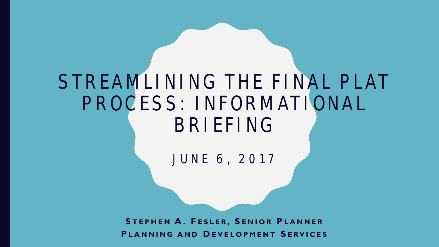### STREAMLINING THE FINAL PLAT PROCESS: INFORMATIONAL BRIEFING

JUNE 6, 2017

**S TEPHEN A. F ESLER , S ENIOR P LANNER P LANNING AND D EVELOPMENT S ERVICES**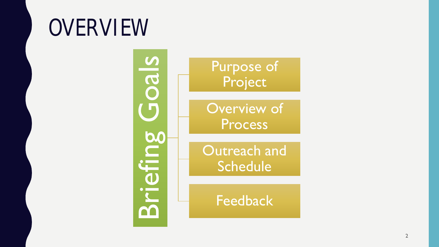## **OVERVIEW**

cals Briefing Goals **Briefing** 

Purpose of Project

Overview of Process

Outreach and Schedule

Feedback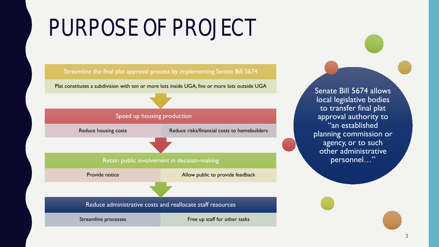# PURPOSE OF PROJECT



Plat constitutes a subdivision with ten or more lots inside UGA, five or more lots outside UGA Senate Bill 5674 allows



Reduce housing costs Reduce risks/financial costs to homebuilders

#### Retain public involvement in decision-making

Provide notice **Allow public to provide feedback** 

Reduce administrative costs and reallocate staff resources

Streamline processes Free up staff for other tasks

local legislative bodies to transfer final plat approval authority to "an established planning commission or agency, or to such other administrative personnel…"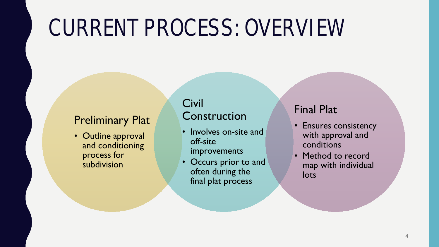## CURRENT PROCESS: OVERVIEW

### Preliminary Plat

• Outline approval and conditioning process for subdivision

#### Civil Construction

- Involves on-site and off-site improvements
- Occurs prior to and often during the final plat process

#### Final Plat

- Ensures consistency with approval and conditions
- Method to record map with individual lots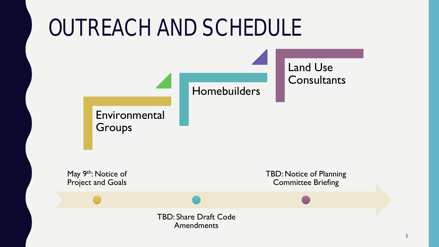### OUTREACH AND SCHEDULE